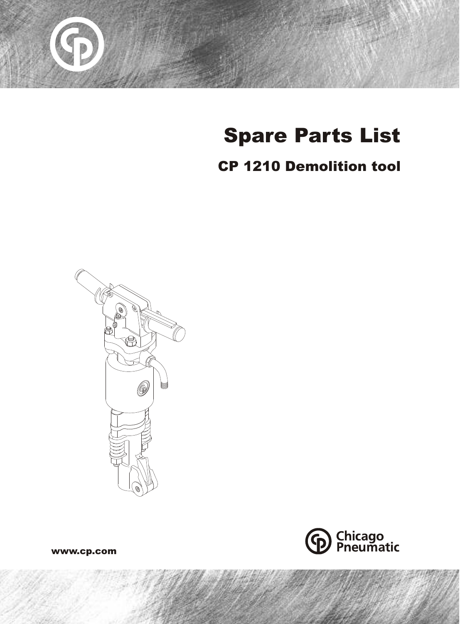

# Spare Parts List

## CP 1210 Demolition tool





www.cp.com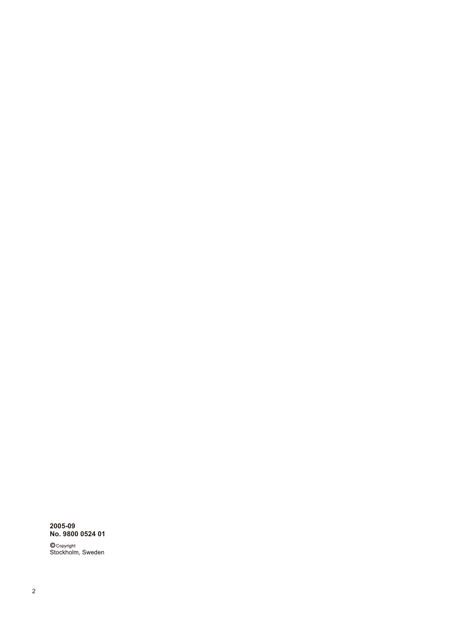### **2005-09 No. 9800 0524 01**

© <sub>Copyright</sub><br>Stockholm, Sweden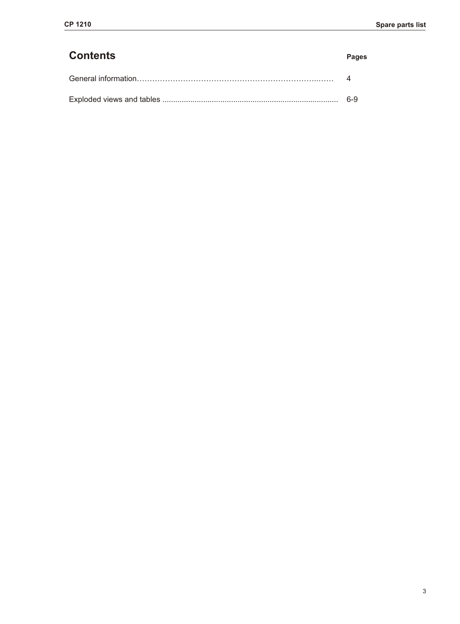| <b>Contents</b> | <b>Pages</b> |
|-----------------|--------------|
|                 |              |
|                 | .6-9         |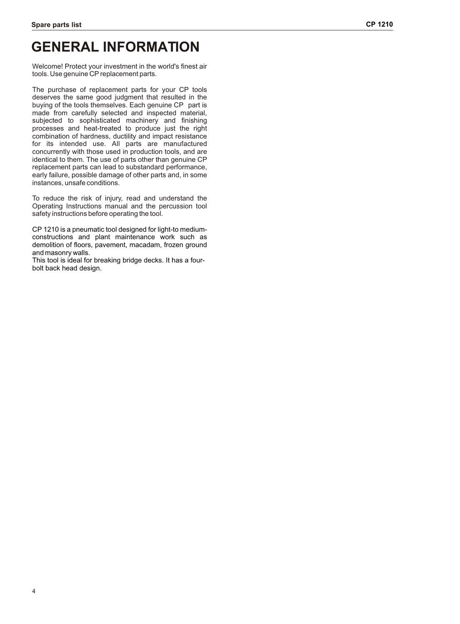### **GENERAL INFORMATION**

Welcome! Protect your investment in the world's finest air tools. Use genuine CP replacement parts.

The purchase of replacement parts for your CP tools deserves the same good judgment that resulted in the buying of the tools themselves. Each genuine CP part is made from carefully selected and inspected material, subjected to sophisticated machinery and finishing processes and heat-treated to produce just the right combination of hardness, ductility and impact resistance for its intended use. All parts are manufactured concurrently with those used in production tools, and are identical to them. The use of parts other than genuine CP replacement parts can lead to substandard performance, early failure, possible damage of other parts and, in some instances, unsafe conditions.

To reduce the risk of injury, read and understand the Operating Instructions manual and the percussion tool safety instructions before operating the tool.

CP 1210 is a pneumatic tool designed for light-to mediumconstructions and plant maintenance work such as demolition of floors, pavement, macadam, frozen ground and masonry walls.

This tool is ideal for breaking bridge decks. It has a fourbolt back head design.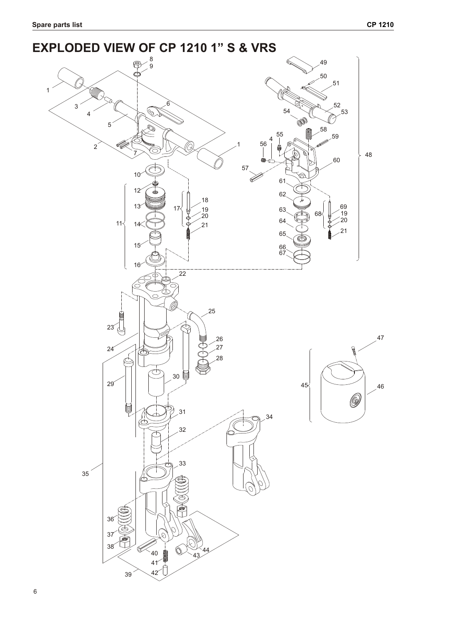#### **EXPLODED VIEW OF CP 1210 1" S & VRS**  $\phi$   $\mathscr{O}$  **BP**  Í  $17\frac{1}{9}$  19  $11 1!$  67  $\frac{1}{22}$  (F)  $\circlearrowright$  TTTT  $\sim$  46 ίĆ ⋐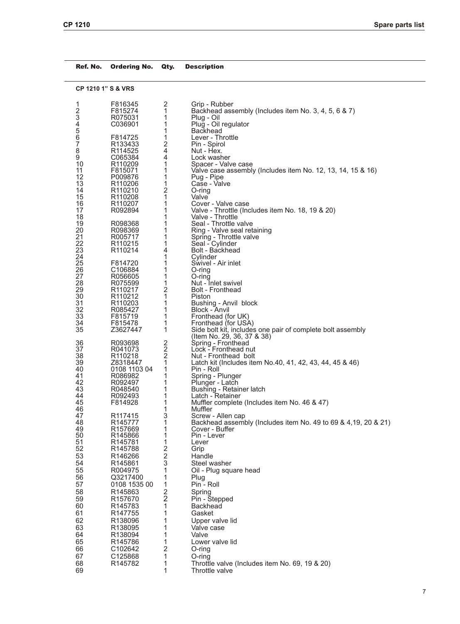| Ref. No.       | Ordering No.                    | Qty.                                      | <b>Description</b>                                                               |
|----------------|---------------------------------|-------------------------------------------|----------------------------------------------------------------------------------|
|                | <b>CP 1210 1" S &amp; VRS</b>   |                                           |                                                                                  |
| 1              | F816345                         | 2                                         | Grip - Rubber                                                                    |
| $\overline{c}$ | F815274                         | 1                                         | Backhead assembly (Includes item No. 3, 4, 5, 6 & 7)                             |
| 3              | R075031                         | 1                                         | Plug - Oil                                                                       |
| 4              | C036901                         | 1                                         | Plug - Oil regulator                                                             |
| 5<br>6         | F814725                         | 1<br>1                                    | <b>Backhead</b><br>Lever - Throttle                                              |
| 7              | R133433                         |                                           | Pin - Spirol                                                                     |
| 8              | R <sub>114525</sub>             | 2<br>4                                    | Nut - Hex.                                                                       |
| 9              | C065384                         | 4                                         | Lock washer                                                                      |
| 10             | R <sub>110209</sub>             | 1                                         | Spacer - Valve case                                                              |
| 11             | F815071                         | 1                                         | Valve case assembly (Includes item No. 12, 13, 14, 15 & 16)                      |
| 12<br>13       | P009876<br>R110206              | 1<br>1                                    | Pug - Pipe<br>Case - Valve                                                       |
| 14             | R <sub>110210</sub>             | 2                                         | O-ring                                                                           |
| 15             | R <sub>110208</sub>             | 1                                         | Valve                                                                            |
| 16             | R110207                         | 1                                         | Cover - Valve case                                                               |
| 17             | R092894                         | 1                                         | Valve - Throttle (Includes item No. 18, 19 & 20)                                 |
| 18             |                                 | 1                                         | Valve - Throttle                                                                 |
| 19<br>20       | R098368<br>R098369              | 1<br>1                                    | Seal - Throttle valve<br>Ring - Valve seal retaining                             |
| 21             | R005717                         | 1                                         | Spring - Throttle valve                                                          |
| 22             | R <sub>110215</sub>             | 1                                         | Seal - Cylinder                                                                  |
| 23             | R <sub>110214</sub>             | 4                                         | Bolt - Backhead                                                                  |
| 24             |                                 | 1                                         | Cylinder                                                                         |
| 25             | F814720                         | 1                                         | Swivel - Air inlet                                                               |
| 26<br>27       | C <sub>106884</sub><br>R056605  | 1<br>1                                    | O-ring<br>O-ring                                                                 |
| 28             | R075599                         | 1                                         | Nut - Inlet swivel                                                               |
| 29             | R <sub>110217</sub>             | 2                                         | <b>Bolt - Fronthead</b>                                                          |
| 30             | R <sub>110212</sub>             | 1                                         | Piston                                                                           |
| 31             | R <sub>110203</sub>             | 1                                         | Bushing - Anvil block                                                            |
| 32<br>33       | R085427<br>F815719              | 1<br>1                                    | Block - Anvil                                                                    |
| 34             | F815478                         | 1                                         | Fronthead (for UK)<br>Fronthead (for USA)                                        |
| 35             | Z3627447                        | 1                                         | Side bolt kit, includes one pair of complete bolt assembly                       |
|                |                                 |                                           | (Item No. 29, 36, 37 & 38)                                                       |
| 36             | R093698                         | 2                                         | Spring - Fronthead                                                               |
| 37             | R041073                         | $\overline{\mathbf{c}}$<br>$\overline{2}$ | Lock - Fronthead nut                                                             |
| 38<br>39       | R <sub>110218</sub><br>Z8318447 | 1                                         | Nut - Fronthead bolt<br>Latch kit (Includes item No.40, 41, 42, 43, 44, 45 & 46) |
| 40             | 0108 1103 04                    | 1                                         | Pin - Roll                                                                       |
| 41             | R086982                         | 1                                         | Spring - Plunger                                                                 |
| 42             | R092497                         | 1                                         | Plunger - Latch                                                                  |
| 43             | R048540                         | 1                                         | Bushing - Retainer latch                                                         |
| 44<br>45       | R092493<br>F814928              | 1<br>1                                    | Latch - Retainer<br>Muffler complete (Includes item No. 46 & 47)                 |
| 46             |                                 | 1                                         | Muffler                                                                          |
| 47             | R <sub>117415</sub>             | 3                                         | Screw - Allen cap                                                                |
| 48             | R145777                         | 1                                         | Backhead assembly (Includes item No. 49 to 69 & 4,19, 20 & 21)                   |
| 49             | R <sub>157669</sub>             | 1                                         | Cover - Buffer                                                                   |
| 50<br>51       | R145866<br>R145781              | 1<br>1                                    | Pin - Lever<br>Lever                                                             |
| 52             | R145788                         | 2                                         | Grip                                                                             |
| 53             | R146266                         | $\overline{\mathbf{c}}$                   | Handle                                                                           |
| 54             | R145861                         | 3                                         | Steel washer                                                                     |
| 55             | R004975                         | 1                                         | Oil - Plug square head                                                           |
| 56             | Q3217400                        | 1                                         | Plug                                                                             |
| 57             | 0108 1535 00                    | 1                                         | Pin - Roll                                                                       |
| 58             | R145863                         | $\frac{2}{2}$                             | Spring                                                                           |
| 59             | R157670                         |                                           | Pin - Stepped                                                                    |
| 60             | R145783                         | 1                                         | <b>Backhead</b>                                                                  |
| 61             | R <sub>147755</sub>             | 1                                         | Gasket                                                                           |
| 62             | R138096                         | 1                                         | Upper valve lid                                                                  |
| 63<br>64       | R138095<br>R138094              | 1<br>1                                    | Valve case<br>Valve                                                              |
| 65             | R <sub>145786</sub>             | 1                                         | Lower valve lid                                                                  |
| 66             | C102642                         | 2                                         | $O$ -ring                                                                        |
| 67             | C125868                         | 1                                         | O-ring                                                                           |
| 68             | R145782                         | 1                                         | Throttle valve (Includes item No. 69, 19 & 20)                                   |
| 69             |                                 | 1                                         | Throttle valve                                                                   |
|                |                                 |                                           |                                                                                  |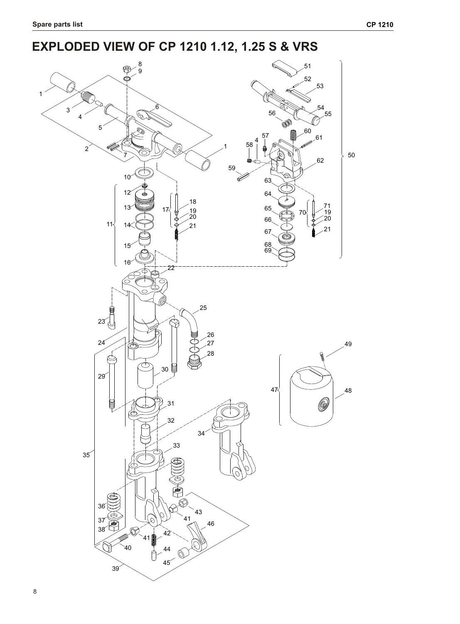# **EXPLODED VIEW OF CP 1210 1.12, 1.25 S & VRS**

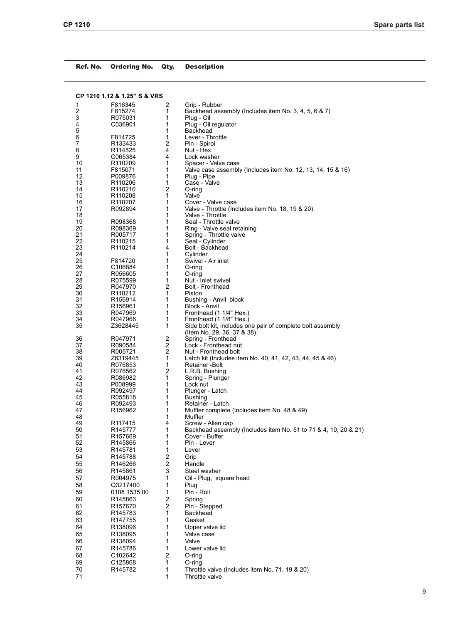| Ref. No. | <b>Ordering No.</b>          | Qty.                    | <b>Description</b>                                                         |
|----------|------------------------------|-------------------------|----------------------------------------------------------------------------|
|          | CP 1210 1.12 & 1.25" S & VRS |                         |                                                                            |
| 1        | F816345                      | 2                       | Grip - Rubber                                                              |
| 2        | F815274                      | 1                       | Backhead assembly (Includes item No. 3, 4, 5, 6 & 7)                       |
| 3        | R075031                      | 1                       | Plug - Oil                                                                 |
| 4        | C036901                      | 1                       | Plug - Oil regulator                                                       |
| 5        |                              | 1                       | Backhead                                                                   |
| 6        | F814725                      | 1                       | Lever - Throttle                                                           |
| 7        | R133433                      | 2                       | Pin - Spirol                                                               |
| 8        | R <sub>114525</sub>          | 4                       | Nut - Hex.                                                                 |
| 9        | C065384                      | 4                       | Lock washer                                                                |
| 10<br>11 | R <sub>110209</sub>          | 1<br>1                  | Spacer - Valve case                                                        |
| 12       | F815071<br>P009876           | 1                       | Valve case assembly (Includes item No. 12, 13, 14, 15 & 16)<br>Plug - Pipe |
| 13       | R110206                      | 1                       | Case - Valve                                                               |
| 14       | R110210                      | 2                       | O-ring                                                                     |
| 15       | R <sub>110208</sub>          | 1                       | Valve                                                                      |
| 16       | R <sub>110207</sub>          | 1                       | Cover - Valve case                                                         |
| 17       | R092894                      | 1                       | Valve - Throttle (Includes item No. 18, 19 & 20)                           |
| 18       |                              | 1                       | Valve - Throttle                                                           |
| 19       | R098368                      | 1                       | Seal - Throttle valve                                                      |
| 20       | R098369                      | 1                       | Ring - Valve seal retaining                                                |
| 21       | R005717                      | 1                       | Spring - Throttle valve                                                    |
| 22       | R <sub>110215</sub>          | 1                       | Seal - Cylinder                                                            |
| 23       | R <sub>110214</sub>          | 4                       | Bolt - Backhead                                                            |
| 24       |                              | 1                       | Cylinder                                                                   |
| 25       | F814720                      | 1                       | Swivel - Air inlet                                                         |
| 26<br>27 | C106884                      | 1<br>1                  | O-ring                                                                     |
| 28       | R056605                      | 1                       | O-ring<br>Nut - Inlet swivel                                               |
| 29       | R075599<br>R047970           | 2                       | <b>Bolt - Fronthead</b>                                                    |
| 30       | R <sub>110212</sub>          | 1                       | Piston                                                                     |
| 31       | R156914                      | 1                       | Bushing - Anvil block                                                      |
| 32       | R <sub>156961</sub>          | 1                       | Block - Anvil                                                              |
| 33       | R047969                      | 1                       | Fronthead (1 1/4" Hex.)                                                    |
| 34       | R047968                      | 1                       | Fronthead (1 1/8" Hex.)                                                    |
| 35       | Z3628445                     | 1                       | Side bolt kit, includes one pair of complete bolt assembly                 |
|          |                              |                         | (Item No. 29, 36, 37 & 38)                                                 |
| 36       | R047971                      | 2                       | Spring - Fronthead                                                         |
| 37       | R090584                      | 2                       | Lock - Fronthead nut                                                       |
| 38       | R005721                      | $\overline{2}$          | Nut - Fronthead bolt                                                       |
| 39       | Z8319445                     | 1                       | Latch kit (Includes item No. 40, 41, 42, 43, 44, 45 & 46)                  |
| 40       | R076853                      | 1                       | Retainer -Bolt                                                             |
| 41<br>42 | R076562<br>R086982           | 2<br>1                  | L.R.B. Bushing<br>Spring - Plunger                                         |
| 43       | P008999                      | 1                       | Lock nut                                                                   |
| 44       | R092497                      | 1                       | Plunger - Latch                                                            |
| 45       | R055818                      | 1                       | <b>Bushing</b>                                                             |
| 46       | R092493                      | 1                       | Retainer - Latch                                                           |
| 47       | R156962                      | 1                       | Muffler complete (Includes item No. 48 & 49)                               |
| 48       |                              | 1                       | Muffler                                                                    |
| 49       | R117415                      | 4                       | Screw - Allen cap                                                          |
| 50       | R145777                      | 1                       | Backhead assembly (Includes item No. 51 to 71 & 4, 19, 20 & 21)            |
| 51       | R157669                      | 1                       | Cover - Buffer                                                             |
| 52       | R145866                      | 1                       | Pin - Lever                                                                |
| 53       | R145781                      | 1                       | Lever                                                                      |
| 54       | R145788                      | $\overline{\mathbf{c}}$ | Grip                                                                       |
| 55       | R146266                      | $\overline{\mathbf{c}}$ | Handle                                                                     |
| 56       | R145861                      | 3                       | Steel washer                                                               |
| 57       | R004975                      | 1                       | Oil - Plug, square head                                                    |
| 58       | Q3217400                     | 1                       | Plug                                                                       |
| 59       | 0108 1535 00                 | 1                       | Pin - Roll                                                                 |
| 60       | R145863                      | 2                       | Spring                                                                     |
| 61       | R157670                      | $\overline{2}$          | Pin - Stepped                                                              |
| 62       | R145783                      | 1                       | Backhead                                                                   |
| 63       | R147755                      | 1                       | Gasket                                                                     |
| 64       | R138096                      | 1                       | Upper valve lid                                                            |
| 65       | R138095                      | 1                       | Valve case                                                                 |
| 66       | R138094                      | 1                       | Valve                                                                      |
| 67       | R145786                      | 1                       | Lower valve lid                                                            |
| 68       | C102642                      | $\boldsymbol{2}$        | O-ring                                                                     |
| 69       | C125868                      | 1                       | O-ring                                                                     |
| 70       | R145782                      | 1                       | Throttle valve (Includes item No. 71, 19 & 20)                             |

71 1 Throttle valve